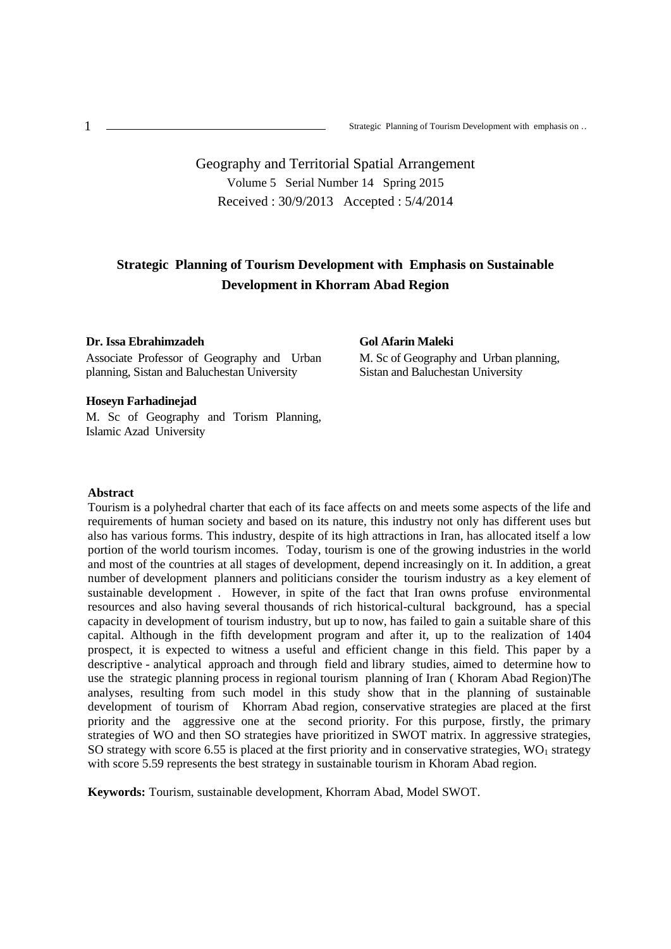# Geography and Territorial Spatial Arrangement Volume 5 Serial Number 14 Spring 2015 Received : 30/9/2013 Accepted : 5/4/2014

## **Strategic Planning of Tourism Development with Emphasis on Sustainable Development in Khorram Abad Region**

#### **Dr. Issa Ebrahimzadeh**

Associate Professor of Geography and Urban planning, Sistan and Baluchestan University

## **Gol Afarin Maleki**

M. Sc of Geography and Urban planning, Sistan and Baluchestan University

#### **Hoseyn Farhadinejad**

M. Sc of Geography and Torism Planning, Islamic Azad University

#### **Abstract**

Tourism is a polyhedral charter that each of its face affects on and meets some aspects of the life and requirements of human society and based on its nature, this industry not only has different uses but also has various forms. This industry, despite of its high attractions in Iran, has allocated itself a low portion of the world tourism incomes. Today, tourism is one of the growing industries in the world and most of the countries at all stages of development, depend increasingly on it. In addition, a great number of development planners and politicians consider the tourism industry as a key element of sustainable development . However, in spite of the fact that Iran owns profuse environmental resources and also having several thousands of rich historical-cultural background, has a special capacity in development of tourism industry, but up to now, has failed to gain a suitable share of this capital. Although in the fifth development program and after it, up to the realization of 1404 prospect, it is expected to witness a useful and efficient change in this field. This paper by a descriptive - analytical approach and through field and library studies, aimed to determine how to use the strategic planning process in regional tourism planning of Iran ( Khoram Abad Region)The analyses, resulting from such model in this study show that in the planning of sustainable development of tourism of Khorram Abad region, conservative strategies are placed at the first priority and the aggressive one at the second priority. For this purpose, firstly, the primary strategies of WO and then SO strategies have prioritized in SWOT matrix. In aggressive strategies, SO strategy with score 6.55 is placed at the first priority and in conservative strategies,  $WO<sub>1</sub>$  strategy with score 5.59 represents the best strategy in sustainable tourism in Khoram Abad region.

**Keywords:** Tourism, sustainable development, Khorram Abad, Model SWOT.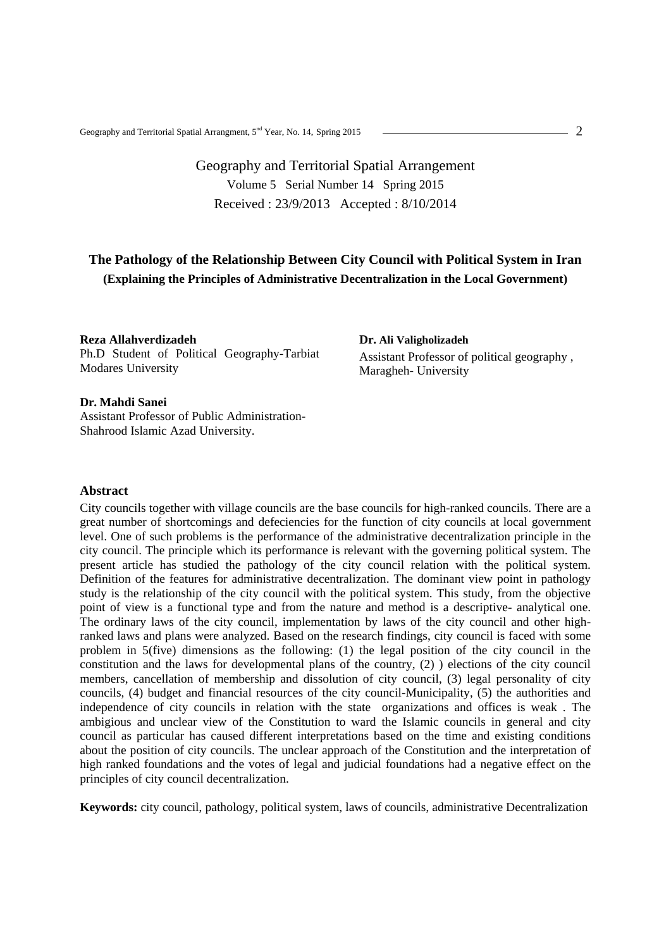# Geography and Territorial Spatial Arrangement Volume 5 Serial Number 14 Spring 2015 Received : 23/9/2013 Accepted : 8/10/2014

## **The Pathology of the Relationship Between City Council with Political System in Iran (Explaining the Principles of Administrative Decentralization in the Local Government)**

**Reza Allahverdizadeh** Ph.D Student of Political Geography-Tarbiat Modares University

**Dr. Ali Valigholizadeh** Assistant Professor of political geography , Maragheh- University

## **Dr. Mahdi Sanei**

Assistant Professor of Public Administration- Shahrood Islamic Azad University.

## **Abstract**

City councils together with village councils are the base councils for high-ranked councils. There are a great number of shortcomings and defeciencies for the function of city councils at local government level. One of such problems is the performance of the administrative decentralization principle in the city council. The principle which its performance is relevant with the governing political system. The present article has studied the pathology of the city council relation with the political system. Definition of the features for administrative decentralization. The dominant view point in pathology study is the relationship of the city council with the political system. This study, from the objective point of view is a functional type and from the nature and method is a descriptive- analytical one. The ordinary laws of the city council, implementation by laws of the city council and other highranked laws and plans were analyzed. Based on the research findings, city council is faced with some problem in 5(five) dimensions as the following: (1) the legal position of the city council in the constitution and the laws for developmental plans of the country, (2) ) elections of the city council members, cancellation of membership and dissolution of city council, (3) legal personality of city councils, (4) budget and financial resources of the city council-Municipality, (5) the authorities and independence of city councils in relation with the state organizations and offices is weak . The ambigious and unclear view of the Constitution to ward the Islamic councils in general and city council as particular has caused different interpretations based on the time and existing conditions about the position of city councils. The unclear approach of the Constitution and the interpretation of high ranked foundations and the votes of legal and judicial foundations had a negative effect on the principles of city council decentralization.

**Keywords:** city council, pathology, political system, laws of councils, administrative Decentralization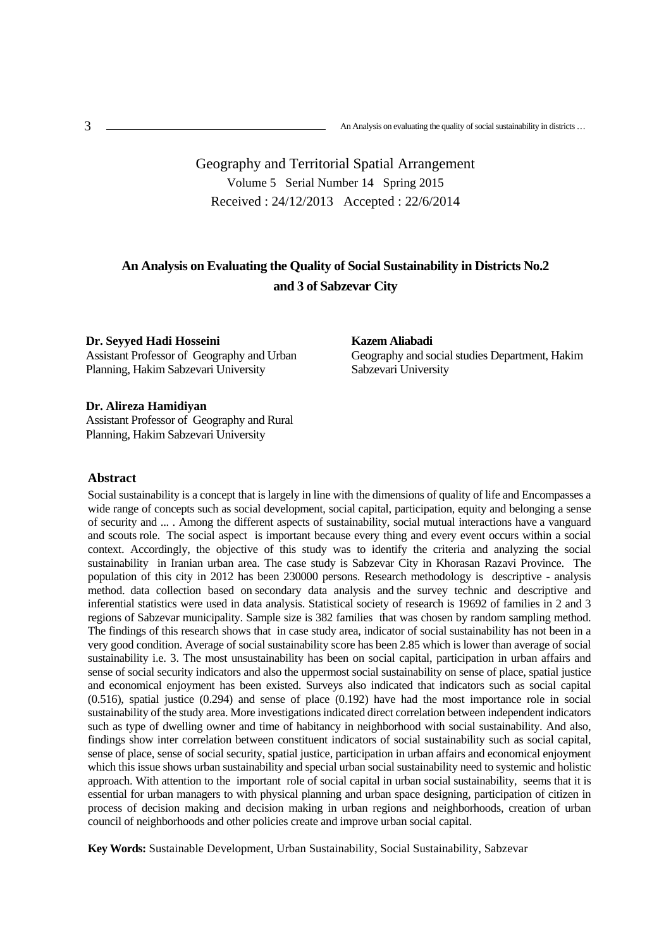Geography and Territorial Spatial Arrangement Volume 5 Serial Number 14 Spring 2015 Received : 24/12/2013 Accepted : 22/6/2014

## **An Analysis on Evaluating the Quality of Social Sustainability in Districts No.2 and 3 of Sabzevar City**

**Dr. Seyyed Hadi Hosseini** Assistant Professor of Geography and Urban Planning, Hakim Sabzevari University

**Kazem Aliabadi**  Geography and social studies Department, Hakim Sabzevari University

#### **Dr. Alireza Hamidiyan**

Assistant Professor of Geography and Rural Planning, Hakim Sabzevari University

## **Abstract**

Social sustainability is a concept that is largely in line with the dimensions of quality of life and Encompasses a wide range of concepts such as social development, social capital, participation, equity and belonging a sense of security and ... . Among the different aspects of sustainability, social mutual interactions have a vanguard and scouts role. The social aspect is important because every thing and every event occurs within a social context. Accordingly, the objective of this study was to identify the criteria and analyzing the social sustainability in Iranian urban area. The case study is Sabzevar City in Khorasan Razavi Province. The population of this city in 2012 has been 230000 persons. Research methodology is descriptive - analysis method. data collection based on secondary data analysis and the survey technic and descriptive and inferential statistics were used in data analysis. Statistical society of research is 19692 of families in 2 and 3 regions of Sabzevar municipality. Sample size is 382 families that was chosen by random sampling method. The findings of this research shows that in case study area, indicator of social sustainability has not been in a very good condition. Average of social sustainability score has been 2.85 which is lower than average of social sustainability i.e. 3. The most unsustainability has been on social capital, participation in urban affairs and sense of social security indicators and also the uppermost social sustainability on sense of place, spatial justice and economical enjoyment has been existed. Surveys also indicated that indicators such as social capital (0.516), spatial justice (0.294) and sense of place (0.192) have had the most importance role in social sustainability of the study area. More investigations indicated direct correlation between independent indicators such as type of dwelling owner and time of habitancy in neighborhood with social sustainability. And also, findings show inter correlation between constituent indicators of social sustainability such as social capital, sense of place, sense of social security, spatial justice, participation in urban affairs and economical enjoyment which this issue shows urban sustainability and special urban social sustainability need to systemic and holistic approach. With attention to the important role of social capital in urban social sustainability, seems that it is essential for urban managers to with physical planning and urban space designing, participation of citizen in process of decision making and decision making in urban regions and neighborhoods, creation of urban council of neighborhoods and other policies create and improve urban social capital.

**Key Words:** Sustainable Development, Urban Sustainability, Social Sustainability, Sabzevar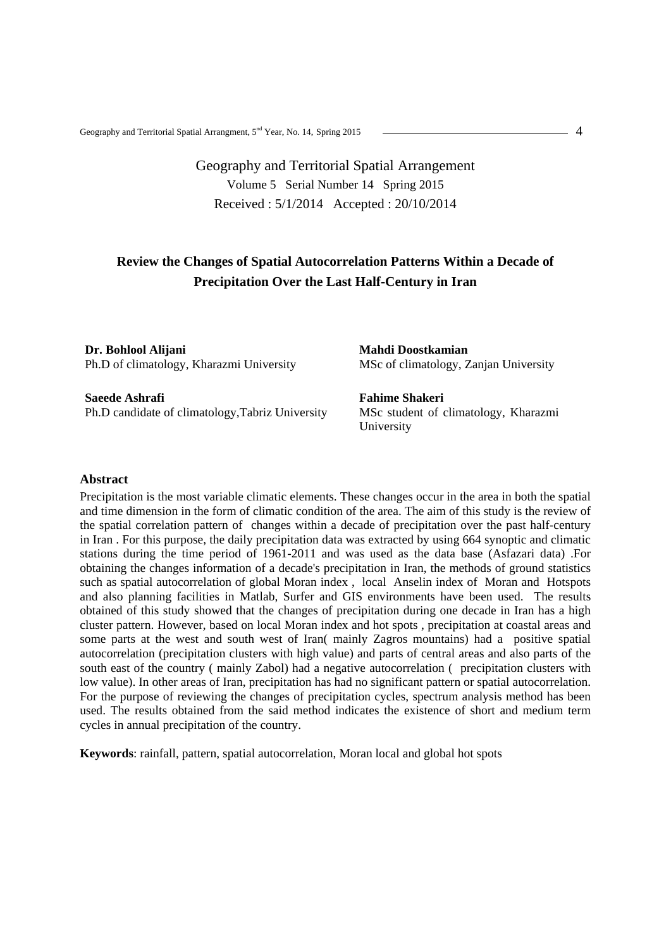# Geography and Territorial Spatial Arrangement Volume 5 Serial Number 14 Spring 2015 Received : 5/1/2014 Accepted : 20/10/2014

## **Review the Changes of Spatial Autocorrelation Patterns Within a Decade of Precipitation Over the Last Half-Century in Iran**

**Dr. Bohlool Alijani**  Ph.D of climatology, Kharazmi University

**Saeede Ashrafi**  Ph.D candidate of climatology,Tabriz University **Mahdi Doostkamian**  MSc of climatology, Zanjan University

**Fahime Shakeri**  MSc student of climatology, Kharazmi University

## **Abstract**

Precipitation is the most variable climatic elements. These changes occur in the area in both the spatial and time dimension in the form of climatic condition of the area. The aim of this study is the review of the spatial correlation pattern of changes within a decade of precipitation over the past half-century in Iran . For this purpose, the daily precipitation data was extracted by using 664 synoptic and climatic stations during the time period of 1961-2011 and was used as the data base (Asfazari data) .For obtaining the changes information of a decade's precipitation in Iran, the methods of ground statistics such as spatial autocorrelation of global Moran index , local Anselin index of Moran and Hotspots and also planning facilities in Matlab, Surfer and GIS environments have been used. The results obtained of this study showed that the changes of precipitation during one decade in Iran has a high cluster pattern. However, based on local Moran index and hot spots , precipitation at coastal areas and some parts at the west and south west of Iran( mainly Zagros mountains) had a positive spatial autocorrelation (precipitation clusters with high value) and parts of central areas and also parts of the south east of the country ( mainly Zabol) had a negative autocorrelation ( precipitation clusters with low value). In other areas of Iran, precipitation has had no significant pattern or spatial autocorrelation. For the purpose of reviewing the changes of precipitation cycles, spectrum analysis method has been used. The results obtained from the said method indicates the existence of short and medium term cycles in annual precipitation of the country.

**Keywords**: rainfall, pattern, spatial autocorrelation, Moran local and global hot spots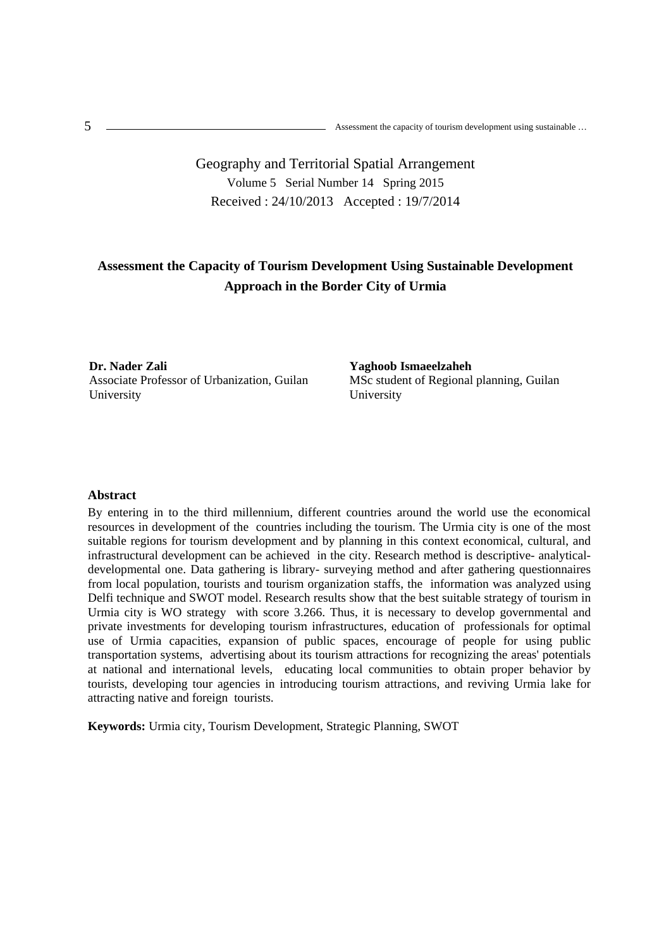Geography and Territorial Spatial Arrangement Volume 5 Serial Number 14 Spring 2015 Received : 24/10/2013 Accepted : 19/7/2014

# **Assessment the Capacity of Tourism Development Using Sustainable Development Approach in the Border City of Urmia**

**Dr. Nader Zali**  Associate Professor of Urbanization, Guilan University

**Yaghoob Ismaeelzaheh**  MSc student of Regional planning, Guilan University

#### **Abstract**

By entering in to the third millennium, different countries around the world use the economical resources in development of the countries including the tourism. The Urmia city is one of the most suitable regions for tourism development and by planning in this context economical, cultural, and infrastructural development can be achieved in the city. Research method is descriptive- analyticaldevelopmental one. Data gathering is library- surveying method and after gathering questionnaires from local population, tourists and tourism organization staffs, the information was analyzed using Delfi technique and SWOT model. Research results show that the best suitable strategy of tourism in Urmia city is WO strategy with score 3.266. Thus, it is necessary to develop governmental and private investments for developing tourism infrastructures, education of professionals for optimal use of Urmia capacities, expansion of public spaces, encourage of people for using public transportation systems, advertising about its tourism attractions for recognizing the areas' potentials at national and international levels, educating local communities to obtain proper behavior by tourists, developing tour agencies in introducing tourism attractions, and reviving Urmia lake for attracting native and foreign tourists.

**Keywords:** Urmia city, Tourism Development, Strategic Planning, SWOT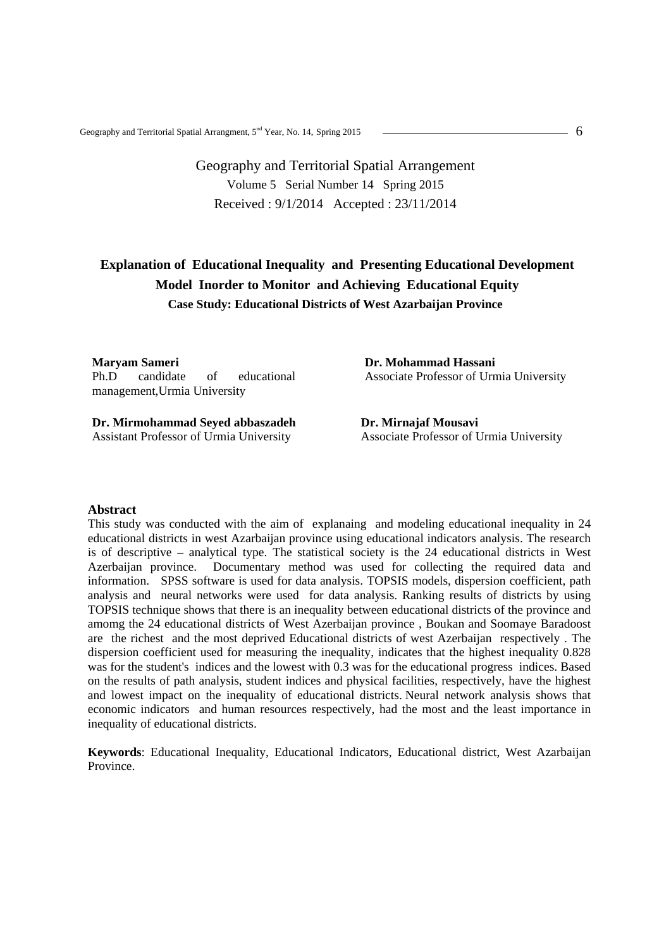# Geography and Territorial Spatial Arrangement Volume 5 Serial Number 14 Spring 2015 Received : 9/1/2014 Accepted : 23/11/2014

# **Explanation of Educational Inequality and Presenting Educational Development Model Inorder to Monitor and Achieving Educational Equity Case Study: Educational Districts of West Azarbaijan Province**

**Maryam Sameri** 

Ph.D candidate of educational management,Urmia University

**Dr. Mirmohammad Seyed abbaszadeh**  Assistant Professor of Urmia University

**Dr. Mohammad Hassani**  Associate Professor of Urmia University

**Dr. Mirnajaf Mousavi**  Associate Professor of Urmia University

## **Abstract**

This study was conducted with the aim of explanaing and modeling educational inequality in 24 educational districts in west Azarbaijan province using educational indicators analysis. The research is of descriptive – analytical type. The statistical society is the 24 educational districts in West Azerbaijan province. Documentary method was used for collecting the required data and information. SPSS software is used for data analysis. TOPSIS models, dispersion coefficient, path analysis and neural networks were used for data analysis. Ranking results of districts by using TOPSIS technique shows that there is an inequality between educational districts of the province and amomg the 24 educational districts of West Azerbaijan province , Boukan and Soomaye Baradoost are the richest and the most deprived Educational districts of west Azerbaijan respectively . The dispersion coefficient used for measuring the inequality, indicates that the highest inequality 0.828 was for the student's indices and the lowest with 0.3 was for the educational progress indices. Based on the results of path analysis, student indices and physical facilities, respectively, have the highest and lowest impact on the inequality of educational districts. Neural network analysis shows that economic indicators and human resources respectively, had the most and the least importance in inequality of educational districts.

**Keywords**: Educational Inequality, Educational Indicators, Educational district, West Azarbaijan Province.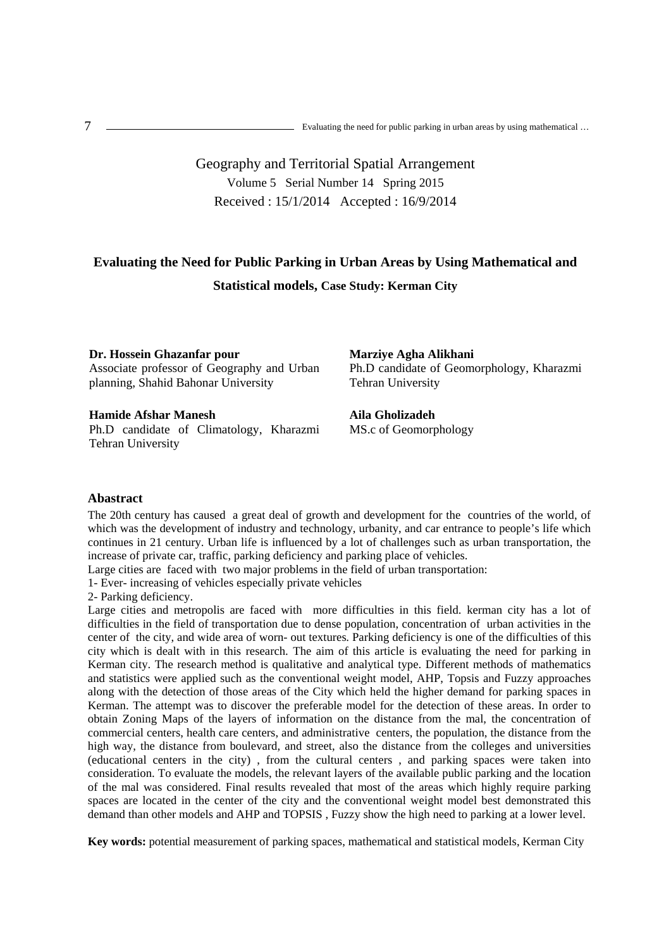$t$ **T Evaluating the need for public parking in urban areas by using mathematical ...**<br>Evaluating the need for public parking in urban areas by using mathematical ...

# Geography and Territorial Spatial Arrangement Volume 5 Serial Number 14 Spring 2015 Received : 15/1/2014 Accepted : 16/9/2014

# **Evaluating the Need for Public Parking in Urban Areas by Using Mathematical and Statistical models, Case Study: Kerman City**

## **Dr. Hossein Ghazanfar pour**

Associate professor of Geography and Urban planning, Shahid Bahonar University

## **Hamide Afshar Manesh**

Ph.D candidate of Climatology, Kharazmi Tehran University

**Marziye Agha Alikhani**  Ph.D candidate of Geomorphology, Kharazmi Tehran University

**Aila Gholizadeh**  MS.c of Geomorphology

## **Abastract**

The 20th century has caused a great deal of growth and development for the countries of the world, of which was the development of industry and technology, urbanity, and car entrance to people's life which continues in 21 century. Urban life is influenced by a lot of challenges such as urban transportation, the increase of private car, traffic, parking deficiency and parking place of vehicles.

Large cities are faced with two major problems in the field of urban transportation:

1- Ever- increasing of vehicles especially private vehicles

2- Parking deficiency.

Large cities and metropolis are faced with more difficulties in this field. kerman city has a lot of difficulties in the field of transportation due to dense population, concentration of urban activities in the center of the city, and wide area of worn- out textures. Parking deficiency is one of the difficulties of this city which is dealt with in this research. The aim of this article is evaluating the need for parking in Kerman city. The research method is qualitative and analytical type. Different methods of mathematics and statistics were applied such as the conventional weight model, AHP, Topsis and Fuzzy approaches along with the detection of those areas of the City which held the higher demand for parking spaces in Kerman. The attempt was to discover the preferable model for the detection of these areas. In order to obtain Zoning Maps of the layers of information on the distance from the mal, the concentration of commercial centers, health care centers, and administrative centers, the population, the distance from the high way, the distance from boulevard, and street, also the distance from the colleges and universities (educational centers in the city) , from the cultural centers , and parking spaces were taken into consideration. To evaluate the models, the relevant layers of the available public parking and the location of the mal was considered. Final results revealed that most of the areas which highly require parking spaces are located in the center of the city and the conventional weight model best demonstrated this demand than other models and AHP and TOPSIS , Fuzzy show the high need to parking at a lower level.

**Key words:** potential measurement of parking spaces, mathematical and statistical models, Kerman City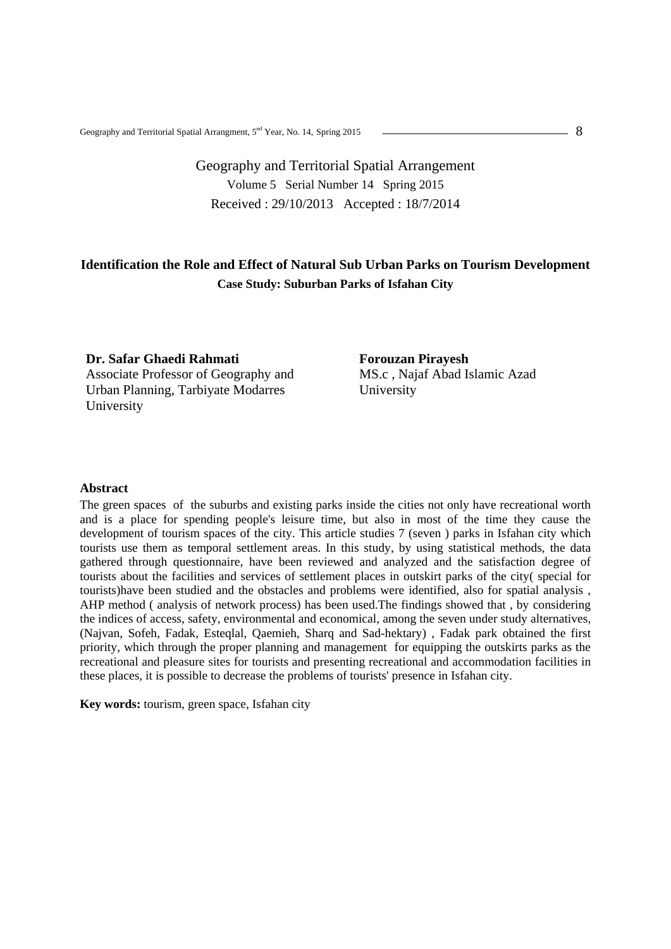# Geography and Territorial Spatial Arrangement Volume 5 Serial Number 14 Spring 2015 Received : 29/10/2013 Accepted : 18/7/2014

## **Identification the Role and Effect of Natural Sub Urban Parks on Tourism Development Case Study: Suburban Parks of Isfahan City**

**Dr. Safar Ghaedi Rahmati**  Associate Professor of Geography and Urban Planning, Tarbiyate Modarres University

**Forouzan Pirayesh**  MS.c , Najaf Abad Islamic Azad University

## **Abstract**

The green spaces of the suburbs and existing parks inside the cities not only have recreational worth and is a place for spending people's leisure time, but also in most of the time they cause the development of tourism spaces of the city. This article studies 7 (seven ) parks in Isfahan city which tourists use them as temporal settlement areas. In this study, by using statistical methods, the data gathered through questionnaire, have been reviewed and analyzed and the satisfaction degree of tourists about the facilities and services of settlement places in outskirt parks of the city( special for tourists)have been studied and the obstacles and problems were identified, also for spatial analysis , AHP method ( analysis of network process) has been used.The findings showed that , by considering the indices of access, safety, environmental and economical, among the seven under study alternatives, (Najvan, Sofeh, Fadak, Esteqlal, Qaemieh, Sharq and Sad-hektary) , Fadak park obtained the first priority, which through the proper planning and management for equipping the outskirts parks as the recreational and pleasure sites for tourists and presenting recreational and accommodation facilities in these places, it is possible to decrease the problems of tourists' presence in Isfahan city.

**Key words:** tourism, green space, Isfahan city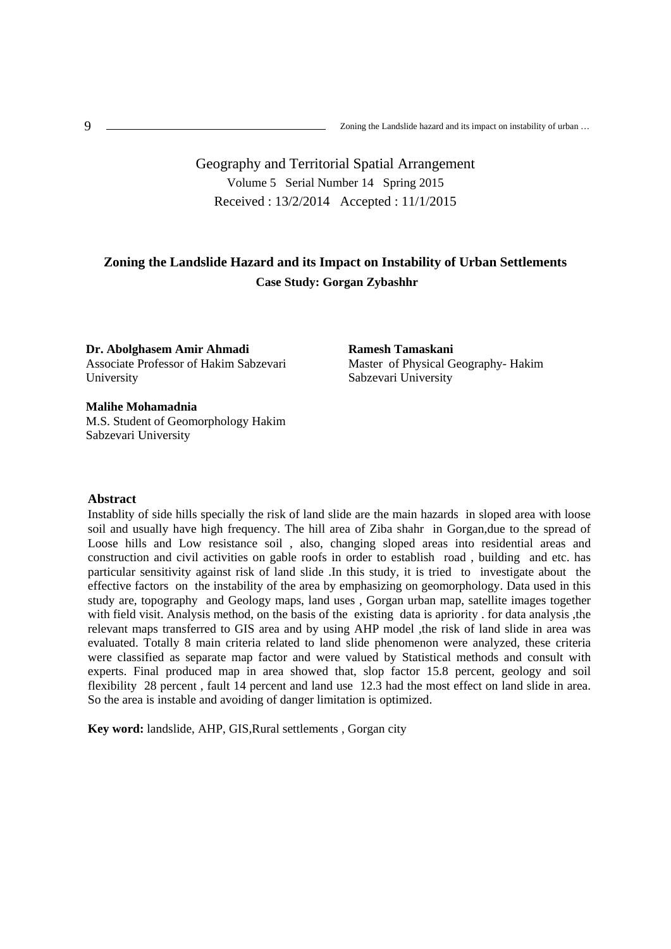Geography and Territorial Spatial Arrangement Volume 5 Serial Number 14 Spring 2015 Received : 13/2/2014 Accepted : 11/1/2015

## **Zoning the Landslide Hazard and its Impact on Instability of Urban Settlements Case Study: Gorgan Zybashhr**

**Dr. Abolghasem Amir Ahmadi**  Associate Professor of Hakim Sabzevari University

**Malihe Mohamadnia** M.S. Student of Geomorphology Hakim Sabzevari University

**Abstract** 

Instablity of side hills specially the risk of land slide are the main hazards in sloped area with loose soil and usually have high frequency. The hill area of Ziba shahr in Gorgan,due to the spread of Loose hills and Low resistance soil , also, changing sloped areas into residential areas and construction and civil activities on gable roofs in order to establish road , building and etc. has particular sensitivity against risk of land slide .In this study, it is tried to investigate about the effective factors on the instability of the area by emphasizing on geomorphology. Data used in this study are, topography and Geology maps, land uses , Gorgan urban map, satellite images together with field visit. Analysis method, on the basis of the existing data is apriority . for data analysis ,the relevant maps transferred to GIS area and by using AHP model ,the risk of land slide in area was evaluated. Totally 8 main criteria related to land slide phenomenon were analyzed, these criteria were classified as separate map factor and were valued by Statistical methods and consult with experts. Final produced map in area showed that, slop factor 15.8 percent, geology and soil flexibility 28 percent , fault 14 percent and land use 12.3 had the most effect on land slide in area. So the area is instable and avoiding of danger limitation is optimized.

**Key word:** landslide, AHP, GIS,Rural settlements , Gorgan city

**Ramesh Tamaskani** Master of Physical Geography- Hakim Sabzevari University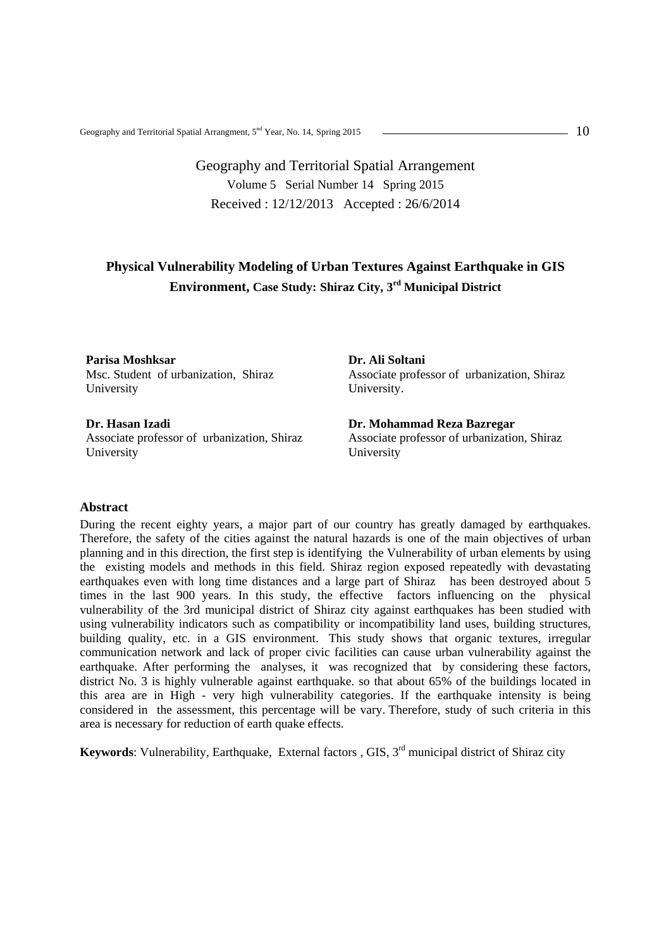# Geography and Territorial Spatial Arrangement Volume 5 Serial Number 14 Spring 2015 Received : 12/12/2013 Accepted : 26/6/2014

# **Physical Vulnerability Modeling of Urban Textures Against Earthquake in GIS Environment, Case Study: Shiraz City, 3rd Municipal District**

**Parisa Moshksar** Msc. Student of urbanization, Shiraz University

**Dr. Hasan Izadi**  Associate professor of urbanization, Shiraz University

**Dr. Ali Soltani**  Associate professor of urbanization, Shiraz University.

**Dr. Mohammad Reza Bazregar**  Associate professor of urbanization, Shiraz University

#### **Abstract**

During the recent eighty years, a major part of our country has greatly damaged by earthquakes. Therefore, the safety of the cities against the natural hazards is one of the main objectives of urban planning and in this direction, the first step is identifying the Vulnerability of urban elements by using the existing models and methods in this field. Shiraz region exposed repeatedly with devastating earthquakes even with long time distances and a large part of Shiraz has been destroyed about 5 times in the last 900 years. In this study, the effective factors influencing on the physical vulnerability of the 3rd municipal district of Shiraz city against earthquakes has been studied with using vulnerability indicators such as compatibility or incompatibility land uses, building structures, building quality, etc. in a GIS environment. This study shows that organic textures, irregular communication network and lack of proper civic facilities can cause urban vulnerability against the earthquake. After performing the analyses, it was recognized that by considering these factors, district No. 3 is highly vulnerable against earthquake. so that about 65% of the buildings located in this area are in High - very high vulnerability categories. If the earthquake intensity is being considered in the assessment, this percentage will be vary. Therefore, study of such criteria in this area is necessary for reduction of earth quake effects.

**Keywords**: Vulnerability, Earthquake, External factors, GIS, 3<sup>rd</sup> municipal district of Shiraz city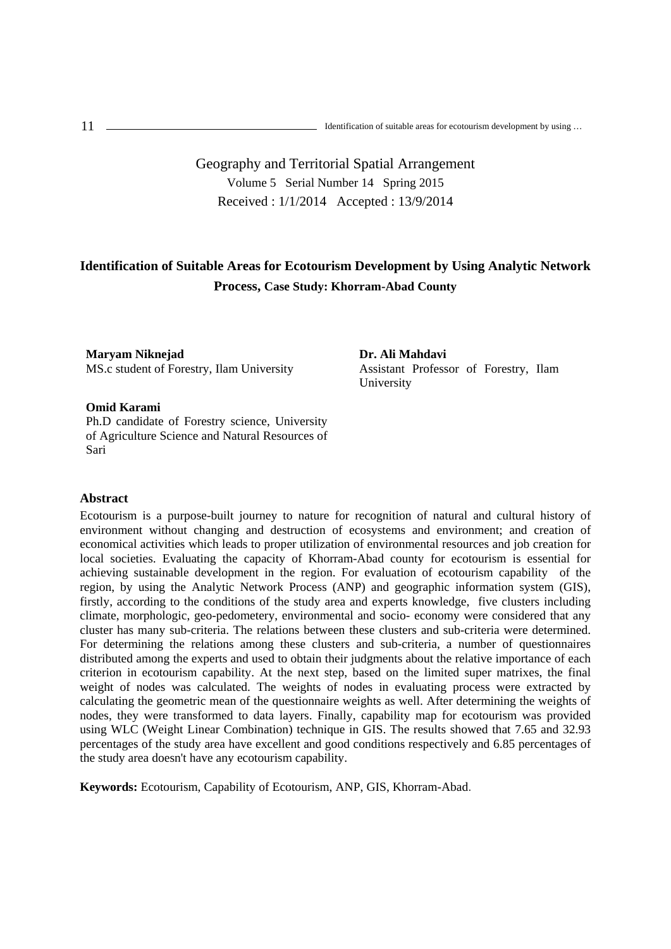# Geography and Territorial Spatial Arrangement Volume 5 Serial Number 14 Spring 2015 Received : 1/1/2014 Accepted : 13/9/2014

# **Identification of Suitable Areas for Ecotourism Development by Using Analytic Network Process, Case Study: Khorram-Abad County**

**Maryam Niknejad**  MS.c student of Forestry, Ilam University

## **Omid Karami**

Ph.D candidate of Forestry science, University of Agriculture Science and Natural Resources of Sari

## **Abstract**

Ecotourism is a purpose-built journey to nature for recognition of natural and cultural history of environment without changing and destruction of ecosystems and environment; and creation of economical activities which leads to proper utilization of environmental resources and job creation for local societies. Evaluating the capacity of Khorram-Abad county for ecotourism is essential for achieving sustainable development in the region. For evaluation of ecotourism capability of the region, by using the Analytic Network Process (ANP) and geographic information system (GIS), firstly, according to the conditions of the study area and experts knowledge, five clusters including climate, morphologic, geo-pedometery, environmental and socio- economy were considered that any cluster has many sub-criteria. The relations between these clusters and sub-criteria were determined. For determining the relations among these clusters and sub-criteria, a number of questionnaires distributed among the experts and used to obtain their judgments about the relative importance of each criterion in ecotourism capability. At the next step, based on the limited super matrixes, the final weight of nodes was calculated. The weights of nodes in evaluating process were extracted by calculating the geometric mean of the questionnaire weights as well. After determining the weights of nodes, they were transformed to data layers. Finally, capability map for ecotourism was provided using WLC (Weight Linear Combination) technique in GIS. The results showed that 7.65 and 32.93 percentages of the study area have excellent and good conditions respectively and 6.85 percentages of the study area doesn't have any ecotourism capability.

**Keywords:** Ecotourism, Capability of Ecotourism, ANP, GIS, Khorram-Abad**.**

**Dr. Ali Mahdavi**  Assistant Professor of Forestry, Ilam University